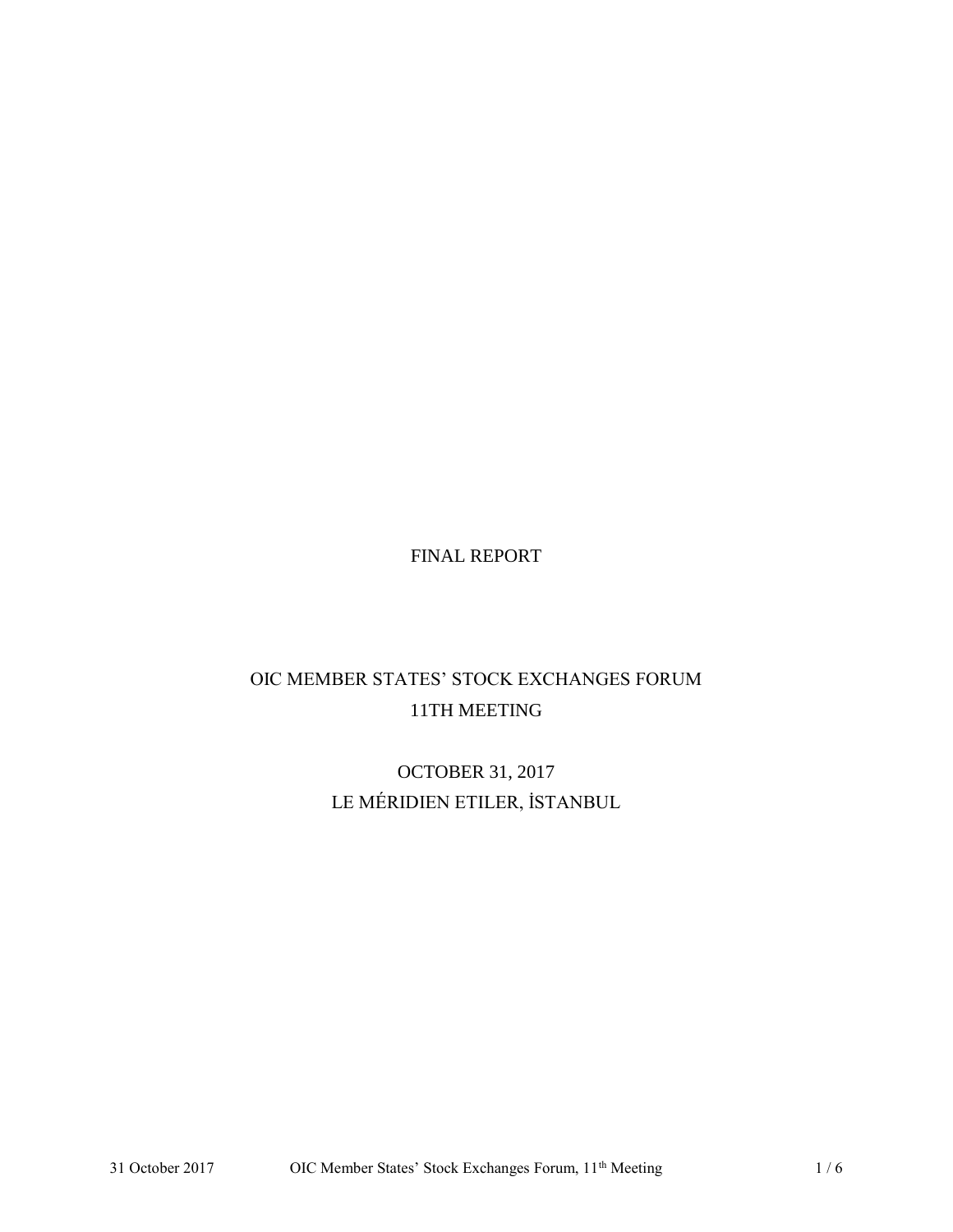FINAL REPORT

# OIC MEMBER STATES' STOCK EXCHANGES FORUM 11TH MEETING

OCTOBER 31, 2017 LE MÉRIDIEN ETILER, İSTANBUL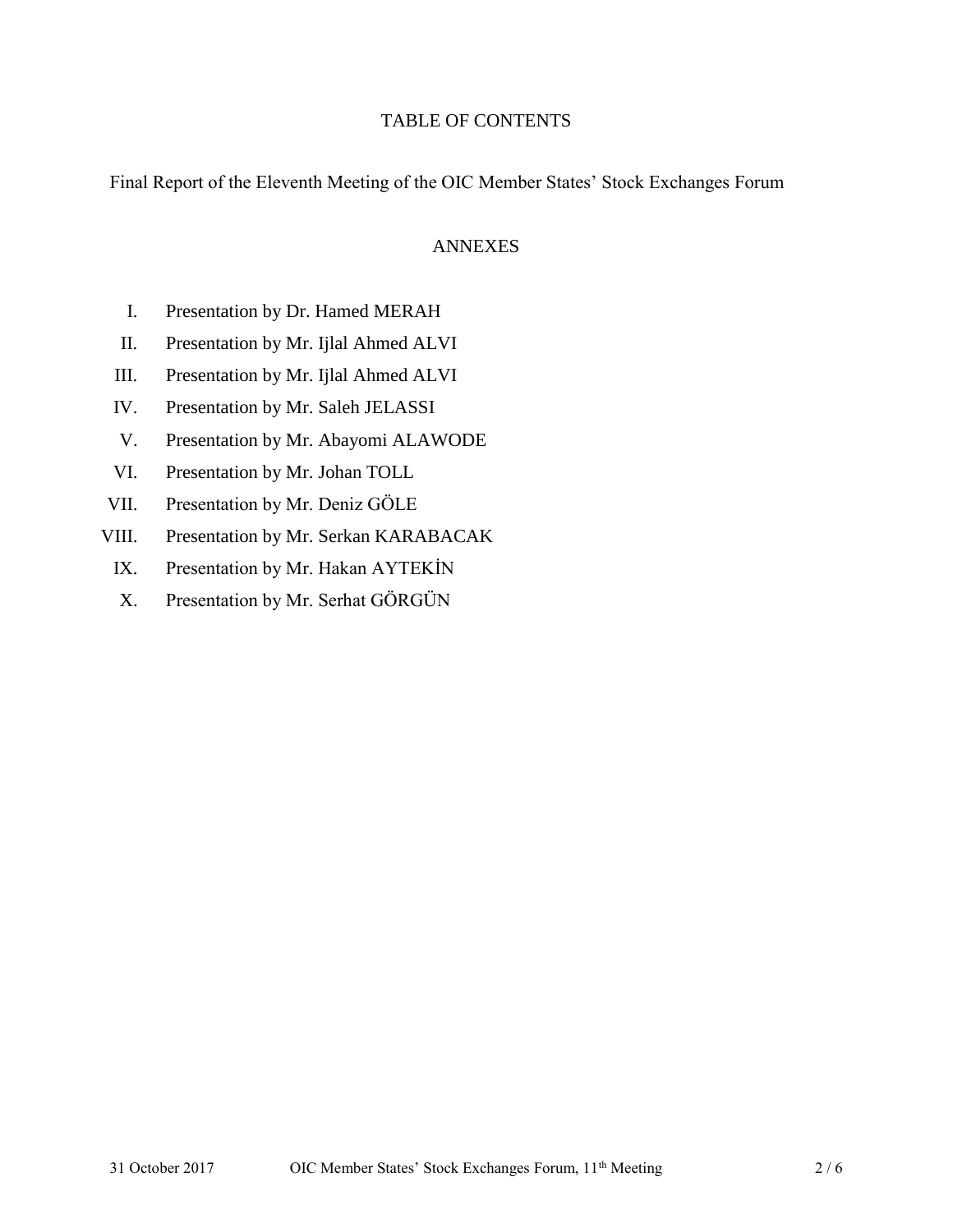# TABLE OF CONTENTS

Final Report of the Eleventh Meeting of the OIC Member States' Stock Exchanges Forum

#### ANNEXES

- I. Presentation by Dr. Hamed MERAH
- II. Presentation by Mr. Ijlal Ahmed ALVI
- III. Presentation by Mr. Ijlal Ahmed ALVI
- IV. Presentation by Mr. Saleh JELASSI
- V. Presentation by Mr. Abayomi ALAWODE
- VI. Presentation by Mr. Johan TOLL
- VII. Presentation by Mr. Deniz GÖLE
- VIII. Presentation by Mr. Serkan KARABACAK
	- IX. Presentation by Mr. Hakan AYTEKİN
	- X. Presentation by Mr. Serhat GÖRGÜN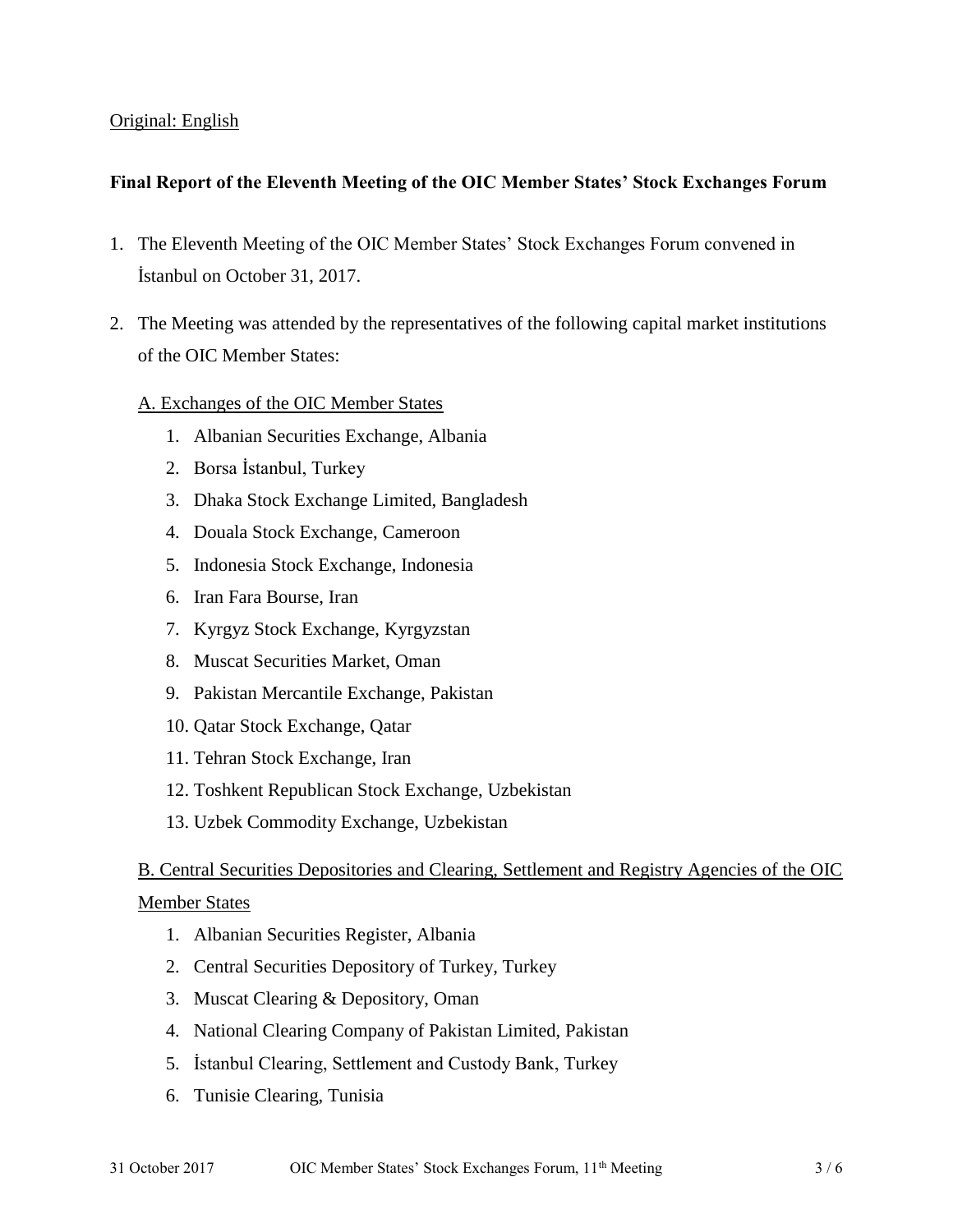# Original: English

# **Final Report of the Eleventh Meeting of the OIC Member States' Stock Exchanges Forum**

- 1. The Eleventh Meeting of the OIC Member States' Stock Exchanges Forum convened in İstanbul on October 31, 2017.
- 2. The Meeting was attended by the representatives of the following capital market institutions of the OIC Member States:

#### A. Exchanges of the OIC Member States

- 1. Albanian Securities Exchange, Albania
- 2. Borsa İstanbul, Turkey
- 3. Dhaka Stock Exchange Limited, Bangladesh
- 4. Douala Stock Exchange, Cameroon
- 5. Indonesia Stock Exchange, Indonesia
- 6. Iran Fara Bourse, Iran
- 7. Kyrgyz Stock Exchange, Kyrgyzstan
- 8. Muscat Securities Market, Oman
- 9. Pakistan Mercantile Exchange, Pakistan
- 10. Qatar Stock Exchange, Qatar
- 11. Tehran Stock Exchange, Iran
- 12. Toshkent Republican Stock Exchange, Uzbekistan
- 13. Uzbek Commodity Exchange, Uzbekistan

# B. Central Securities Depositories and Clearing, Settlement and Registry Agencies of the OIC

#### Member States

- 1. Albanian Securities Register, Albania
- 2. Central Securities Depository of Turkey, Turkey
- 3. Muscat Clearing & Depository, Oman
- 4. National Clearing Company of Pakistan Limited, Pakistan
- 5. İstanbul Clearing, Settlement and Custody Bank, Turkey
- 6. Tunisie Clearing, Tunisia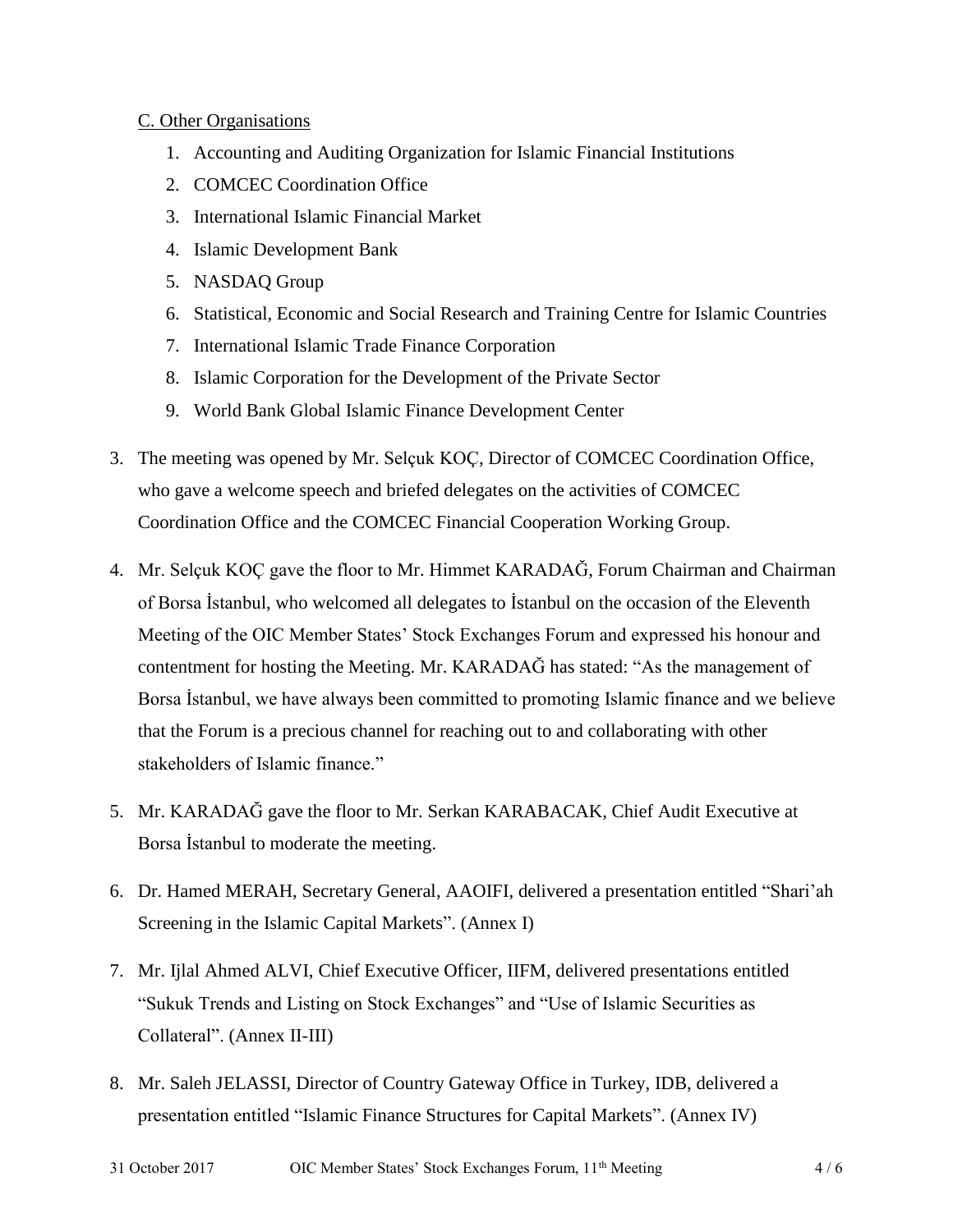#### C. Other Organisations

- 1. Accounting and Auditing Organization for Islamic Financial Institutions
- 2. COMCEC Coordination Office
- 3. International Islamic Financial Market
- 4. Islamic Development Bank
- 5. NASDAQ Group
- 6. Statistical, Economic and Social Research and Training Centre for Islamic Countries
- 7. International Islamic Trade Finance Corporation
- 8. Islamic Corporation for the Development of the Private Sector
- 9. World Bank Global Islamic Finance Development Center
- 3. The meeting was opened by Mr. Selçuk KOÇ, Director of COMCEC Coordination Office, who gave a welcome speech and briefed delegates on the activities of COMCEC Coordination Office and the COMCEC Financial Cooperation Working Group.
- 4. Mr. Selçuk KOÇ gave the floor to Mr. Himmet KARADAĞ, Forum Chairman and Chairman of Borsa İstanbul, who welcomed all delegates to İstanbul on the occasion of the Eleventh Meeting of the OIC Member States' Stock Exchanges Forum and expressed his honour and contentment for hosting the Meeting. Mr. KARADAĞ has stated: "As the management of Borsa İstanbul, we have always been committed to promoting Islamic finance and we believe that the Forum is a precious channel for reaching out to and collaborating with other stakeholders of Islamic finance."
- 5. Mr. KARADAĞ gave the floor to Mr. Serkan KARABACAK, Chief Audit Executive at Borsa İstanbul to moderate the meeting.
- 6. Dr. Hamed MERAH, Secretary General, AAOIFI, delivered a presentation entitled "Shari'ah Screening in the Islamic Capital Markets". (Annex I)
- 7. Mr. Ijlal Ahmed ALVI, Chief Executive Officer, IIFM, delivered presentations entitled "Sukuk Trends and Listing on Stock Exchanges" and "Use of Islamic Securities as Collateral". (Annex II-III)
- 8. Mr. Saleh JELASSI, Director of Country Gateway Office in Turkey, IDB, delivered a presentation entitled "Islamic Finance Structures for Capital Markets". (Annex IV)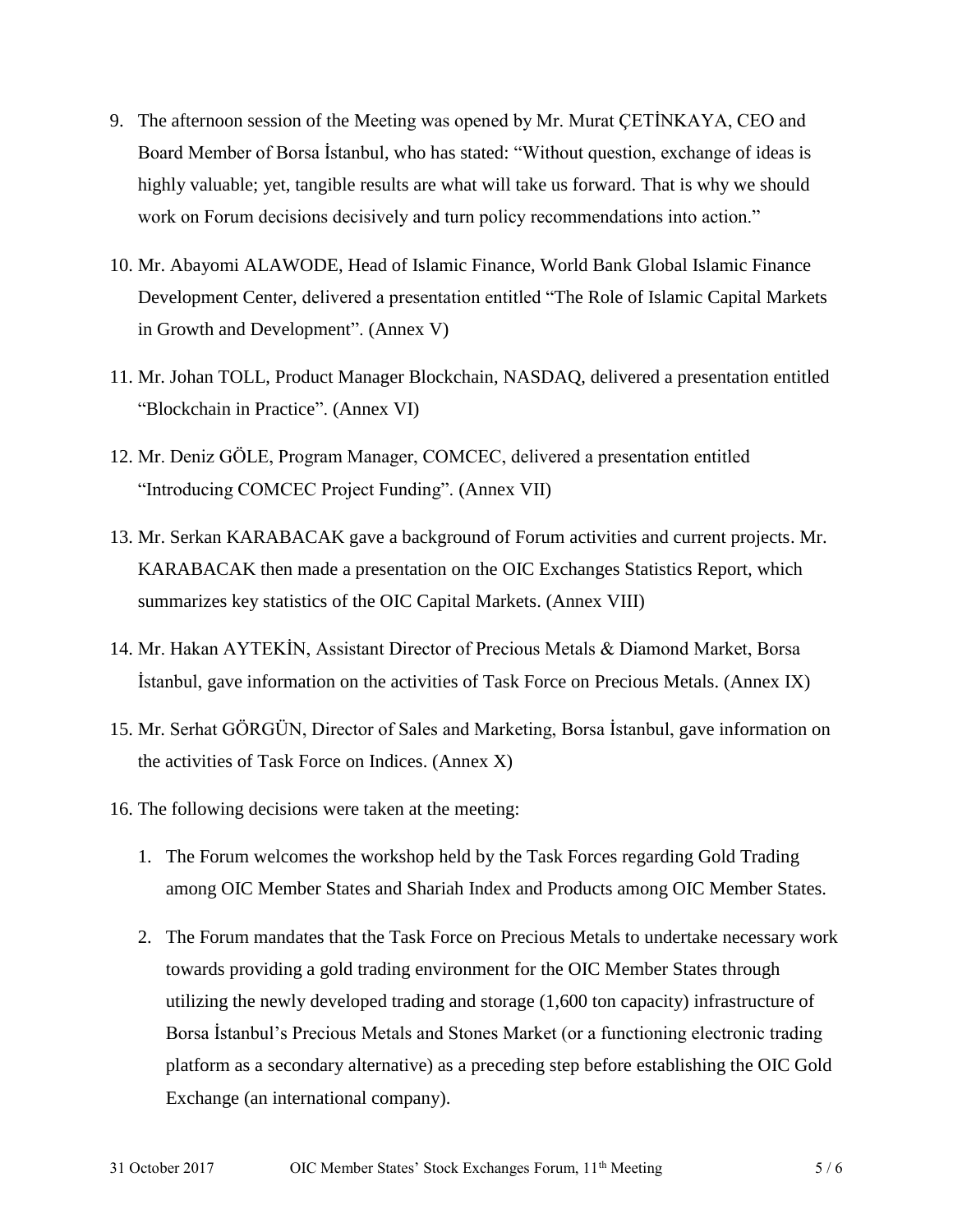- 9. The afternoon session of the Meeting was opened by Mr. Murat ÇETİNKAYA, CEO and Board Member of Borsa İstanbul, who has stated: "Without question, exchange of ideas is highly valuable; yet, tangible results are what will take us forward. That is why we should work on Forum decisions decisively and turn policy recommendations into action."
- 10. Mr. Abayomi ALAWODE, Head of Islamic Finance, World Bank Global Islamic Finance Development Center, delivered a presentation entitled "The Role of Islamic Capital Markets in Growth and Development". (Annex V)
- 11. Mr. Johan TOLL, Product Manager Blockchain, NASDAQ, delivered a presentation entitled "Blockchain in Practice". (Annex VI)
- 12. Mr. Deniz GÖLE, Program Manager, COMCEC, delivered a presentation entitled "Introducing COMCEC Project Funding". (Annex VII)
- 13. Mr. Serkan KARABACAK gave a background of Forum activities and current projects. Mr. KARABACAK then made a presentation on the OIC Exchanges Statistics Report, which summarizes key statistics of the OIC Capital Markets. (Annex VIII)
- 14. Mr. Hakan AYTEKİN, Assistant Director of Precious Metals & Diamond Market, Borsa İstanbul, gave information on the activities of Task Force on Precious Metals. (Annex IX)
- 15. Mr. Serhat GÖRGÜN, Director of Sales and Marketing, Borsa İstanbul, gave information on the activities of Task Force on Indices. (Annex X)
- 16. The following decisions were taken at the meeting:
	- 1. The Forum welcomes the workshop held by the Task Forces regarding Gold Trading among OIC Member States and Shariah Index and Products among OIC Member States.
	- 2. The Forum mandates that the Task Force on Precious Metals to undertake necessary work towards providing a gold trading environment for the OIC Member States through utilizing the newly developed trading and storage (1,600 ton capacity) infrastructure of Borsa İstanbul's Precious Metals and Stones Market (or a functioning electronic trading platform as a secondary alternative) as a preceding step before establishing the OIC Gold Exchange (an international company).